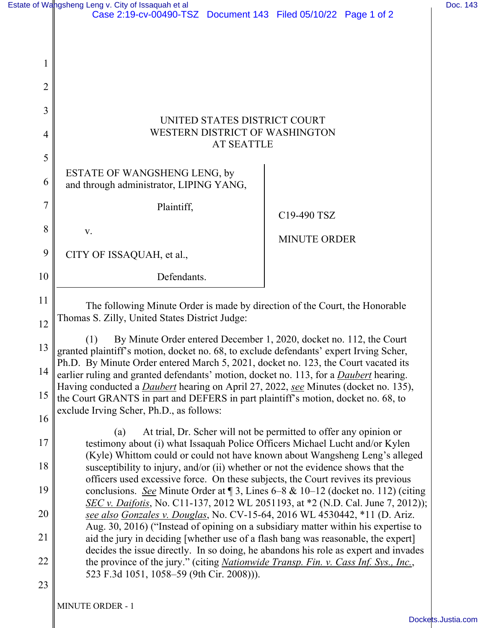|                | Estate of Wangsheng Leng v. City of Issaquah et al<br>Case 2:19-cv-00490-TSZ Document 143 Filed 05/10/22 Page 1 of 2                                                                                                                                                                                                                                                                                                                                                                                                                                                                                                                                                                                                       | Doc. 143 |
|----------------|----------------------------------------------------------------------------------------------------------------------------------------------------------------------------------------------------------------------------------------------------------------------------------------------------------------------------------------------------------------------------------------------------------------------------------------------------------------------------------------------------------------------------------------------------------------------------------------------------------------------------------------------------------------------------------------------------------------------------|----------|
|                |                                                                                                                                                                                                                                                                                                                                                                                                                                                                                                                                                                                                                                                                                                                            |          |
| $\mathbf{I}$   |                                                                                                                                                                                                                                                                                                                                                                                                                                                                                                                                                                                                                                                                                                                            |          |
| $\overline{2}$ |                                                                                                                                                                                                                                                                                                                                                                                                                                                                                                                                                                                                                                                                                                                            |          |
| 3              |                                                                                                                                                                                                                                                                                                                                                                                                                                                                                                                                                                                                                                                                                                                            |          |
| 4              | UNITED STATES DISTRICT COURT<br>WESTERN DISTRICT OF WASHINGTON<br><b>AT SEATTLE</b>                                                                                                                                                                                                                                                                                                                                                                                                                                                                                                                                                                                                                                        |          |
| 5              |                                                                                                                                                                                                                                                                                                                                                                                                                                                                                                                                                                                                                                                                                                                            |          |
| 6              | ESTATE OF WANGSHENG LENG, by<br>and through administrator, LIPING YANG,                                                                                                                                                                                                                                                                                                                                                                                                                                                                                                                                                                                                                                                    |          |
| 7              | Plaintiff,<br>C19-490 TSZ                                                                                                                                                                                                                                                                                                                                                                                                                                                                                                                                                                                                                                                                                                  |          |
| 8              | V.<br><b>MINUTE ORDER</b>                                                                                                                                                                                                                                                                                                                                                                                                                                                                                                                                                                                                                                                                                                  |          |
| 9              | CITY OF ISSAQUAH, et al.,                                                                                                                                                                                                                                                                                                                                                                                                                                                                                                                                                                                                                                                                                                  |          |
| 10             | Defendants.                                                                                                                                                                                                                                                                                                                                                                                                                                                                                                                                                                                                                                                                                                                |          |
| 11             | The following Minute Order is made by direction of the Court, the Honorable<br>Thomas S. Zilly, United States District Judge:<br>By Minute Order entered December 1, 2020, docket no. 112, the Court<br>(1)<br>granted plaintiff's motion, docket no. 68, to exclude defendants' expert Irving Scher,<br>Ph.D. By Minute Order entered March 5, 2021, docket no. 123, the Court vacated its<br>earlier ruling and granted defendants' motion, docket no. 113, for a <i>Daubert</i> hearing.<br>Having conducted a <i>Daubert</i> hearing on April 27, 2022, see Minutes (docket no. 135),<br>the Court GRANTS in part and DEFERS in part plaintiff's motion, docket no. 68, to<br>exclude Irving Scher, Ph.D., as follows: |          |
| 12             |                                                                                                                                                                                                                                                                                                                                                                                                                                                                                                                                                                                                                                                                                                                            |          |
| 13             |                                                                                                                                                                                                                                                                                                                                                                                                                                                                                                                                                                                                                                                                                                                            |          |
| 14             |                                                                                                                                                                                                                                                                                                                                                                                                                                                                                                                                                                                                                                                                                                                            |          |
| 15             |                                                                                                                                                                                                                                                                                                                                                                                                                                                                                                                                                                                                                                                                                                                            |          |
| 16             |                                                                                                                                                                                                                                                                                                                                                                                                                                                                                                                                                                                                                                                                                                                            |          |
| 17             | At trial, Dr. Scher will not be permitted to offer any opinion or<br>(a)<br>testimony about (i) what Issaquah Police Officers Michael Lucht and/or Kylen                                                                                                                                                                                                                                                                                                                                                                                                                                                                                                                                                                   |          |
| 18             | (Kyle) Whittom could or could not have known about Wangsheng Leng's alleged<br>susceptibility to injury, and/or (ii) whether or not the evidence shows that the<br>officers used excessive force. On these subjects, the Court revives its previous                                                                                                                                                                                                                                                                                                                                                                                                                                                                        |          |
| 19             | conclusions. See Minute Order at $\sqrt{3}$ , Lines 6–8 & 10–12 (docket no. 112) (citing<br>SEC v. Daifotis, No. C11-137, 2012 WL 2051193, at *2 (N.D. Cal. June 7, 2012));                                                                                                                                                                                                                                                                                                                                                                                                                                                                                                                                                |          |
| 20             | see also Gonzales v. Douglas, No. CV-15-64, 2016 WL 4530442, *11 (D. Ariz.<br>Aug. 30, 2016) ("Instead of opining on a subsidiary matter within his expertise to                                                                                                                                                                                                                                                                                                                                                                                                                                                                                                                                                           |          |
| 21             | aid the jury in deciding [whether use of a flash bang was reasonable, the expert]<br>decides the issue directly. In so doing, he abandons his role as expert and invades                                                                                                                                                                                                                                                                                                                                                                                                                                                                                                                                                   |          |
| 22             | the province of the jury." (citing <i>Nationwide Transp. Fin. v. Cass Inf. Sys., Inc.</i> ,<br>523 F.3d 1051, 1058–59 (9th Cir. 2008))).                                                                                                                                                                                                                                                                                                                                                                                                                                                                                                                                                                                   |          |
| 23             |                                                                                                                                                                                                                                                                                                                                                                                                                                                                                                                                                                                                                                                                                                                            |          |

MINUTE ORDER - 1 II